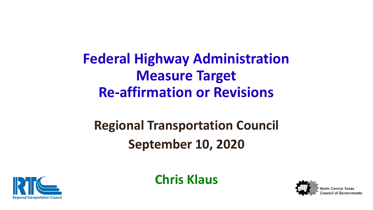# **Federal Highway Administration Measure Target Re-affirmation or Revisions**

# **Regional Transportation Council September 10, 2020**

**Chris Klaus**



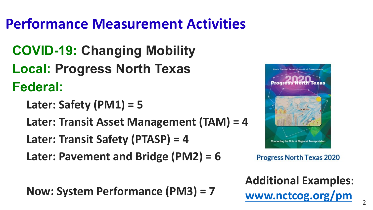# **Performance Measurement Activities**

- **COVID-19: Changing Mobility Local: Progress North Texas Federal:**
	- **Later: Safety (PM1) = 5**
	- **Later: Transit Asset Management (TAM) = 4**
	- **Later: Transit Safety (PTASP) = 4**
	- **Later: Pavement and Bridge (PM2) = 6**

**Now: System Performance (PM3) = 7**



**Progress North Texas 2020** 

**Additional Examples:** [www.nctcog.org/pm](http://www.nctcog.org/pm)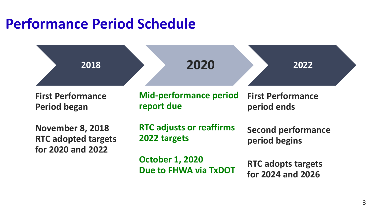# **Performance Period Schedule**

| 2018                                                                       | 2020                                                   | 2022                                           |  |  |
|----------------------------------------------------------------------------|--------------------------------------------------------|------------------------------------------------|--|--|
| <b>First Performance</b><br><b>Period began</b>                            | <b>Mid-performance period</b><br>report due            | <b>First Performance</b><br>period ends        |  |  |
| <b>November 8, 2018</b><br><b>RTC adopted targets</b><br>for 2020 and 2022 | <b>RTC adjusts or reaffirms</b><br>2022 targets        | <b>Second performance</b><br>period begins     |  |  |
|                                                                            | <b>October 1, 2020</b><br><b>Due to FHWA via TxDOT</b> | <b>RTC adopts targets</b><br>for 2024 and 2026 |  |  |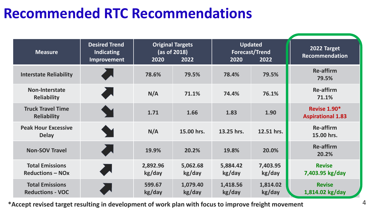# **Recommended RTC Recommendations**

| <b>Measure</b>                                    | <b>Desired Trend</b><br><b>Indicating</b><br>Improvement | 2020               | <b>Original Targets</b><br>(as of 2018)<br>2022 | 2020               | <b>Updated</b><br>Forecast/Trend<br>2022 | 2022 Target<br><b>Recommendation</b>     |
|---------------------------------------------------|----------------------------------------------------------|--------------------|-------------------------------------------------|--------------------|------------------------------------------|------------------------------------------|
| <b>Interstate Reliability</b>                     |                                                          | 78.6%              | 79.5%                                           | 78.4%              | 79.5%                                    | <b>Re-affirm</b><br>79.5%                |
| <b>Non-Interstate</b><br><b>Reliability</b>       | <b>Allen</b>                                             | N/A                | 71.1%                                           | 74.4%              | 76.1%                                    | <b>Re-affirm</b><br>71.1%                |
| <b>Truck Travel Time</b><br><b>Reliability</b>    |                                                          | 1.71               | 1.66                                            | 1.83               | 1.90                                     | Revise 1.90*<br><b>Aspirational 1.83</b> |
| <b>Peak Hour Excessive</b><br><b>Delay</b>        |                                                          | N/A                | 15.00 hrs.                                      | 13.25 hrs.         | 12.51 hrs.                               | <b>Re-affirm</b><br>15.00 hrs.           |
| <b>Non-SOV Travel</b>                             |                                                          | 19.9%              | 20.2%                                           | 19.8%              | 20.0%                                    | <b>Re-affirm</b><br>20.2%                |
| <b>Total Emissions</b><br><b>Reductions - NOx</b> |                                                          | 2,892.96<br>kg/day | 5,062.68<br>kg/day                              | 5,884.42<br>kg/day | 7,403.95<br>kg/day                       | <b>Revise</b><br>7,403.95 kg/day         |
| <b>Total Emissions</b><br><b>Reductions - VOC</b> |                                                          | 599.67<br>kg/day   | 1,079.40<br>kg/day                              | 1,418.56<br>kg/day | 1,814.02<br>kg/day                       | <b>Revise</b><br>1,814.02 kg/day         |

**\*Accept revised target resulting in development of work plan with focus to improve freight movement** 4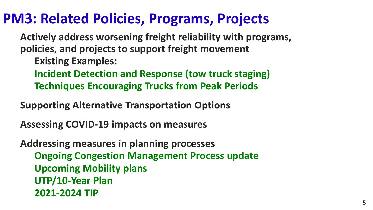### **PM3: Related Policies, Programs, Projects**

**Actively address worsening freight reliability with programs, policies, and projects to support freight movement**

**Existing Examples:**

**Incident Detection and Response (tow truck staging) Techniques Encouraging Trucks from Peak Periods** 

**Supporting Alternative Transportation Options**

**Assessing COVID-19 impacts on measures**

**Addressing measures in planning processes Ongoing Congestion Management Process update Upcoming Mobility plans UTP/10-Year Plan 2021-2024 TIP**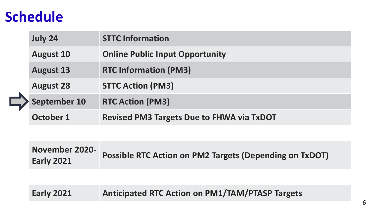## **Schedule**

|  | <b>July 24</b>      | <b>STTC Information</b>                          |
|--|---------------------|--------------------------------------------------|
|  | <b>August 10</b>    | <b>Online Public Input Opportunity</b>           |
|  | <b>August 13</b>    | <b>RTC Information (PM3)</b>                     |
|  | <b>August 28</b>    | <b>STTC Action (PM3)</b>                         |
|  | <b>September 10</b> | <b>RTC Action (PM3)</b>                          |
|  | October 1           | <b>Revised PM3 Targets Due to FHWA via TxDOT</b> |

**November 2020- Early 2021 Possible RTC Action on PM2 Targets (Depending on TxDOT)**

#### **Early 2021 Anticipated RTC Action on PM1/TAM/PTASP Targets**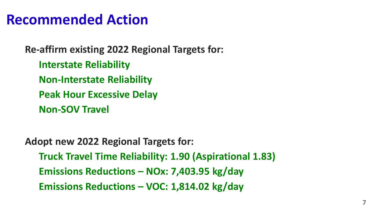#### **Recommended Action**

**Re-affirm existing 2022 Regional Targets for: Interstate Reliability Non-Interstate Reliability Peak Hour Excessive Delay Non-SOV Travel**

**Adopt new 2022 Regional Targets for: Truck Travel Time Reliability: 1.90 (Aspirational 1.83) Emissions Reductions – NOx: 7,403.95 kg/day Emissions Reductions – VOC: 1,814.02 kg/day**